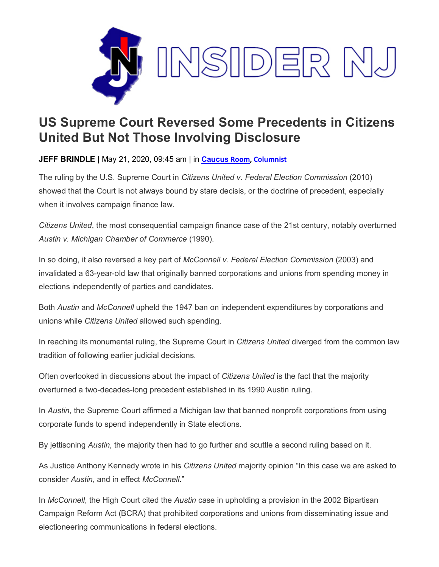

## **US Supreme Court Reversed Some Precedents in Citizens United But Not Those Involving Disclosure**

**JEFF BRINDLE** | May 21, 2020, 09:45 am | in **[Caucus](https://www.insidernj.com/category/caucus-room/) Room[, Columnist](https://www.insidernj.com/category/columnist/)**

The ruling by the U.S. Supreme Court in *Citizens United v. Federal Election Commission* (2010) showed that the Court is not always bound by stare decisis, or the doctrine of precedent, especially when it involves campaign finance law.

*Citizens United*, the most consequential campaign finance case of the 21st century, notably overturned *Austin v. Michigan Chamber of Commerce* (1990).

In so doing, it also reversed a key part of *McConnell v. Federal Election Commission* (2003) and invalidated a 63-year-old law that originally banned corporations and unions from spending money in elections independently of parties and candidates.

Both *Austin* and *McConnell* upheld the 1947 ban on independent expenditures by corporations and unions while *Citizens United* allowed such spending.

In reaching its monumental ruling, the Supreme Court in *Citizens United* diverged from the common law tradition of following earlier judicial decisions.

Often overlooked in discussions about the impact of *Citizens United* is the fact that the majority overturned a two-decades-long precedent established in its 1990 Austin ruling.

In *Austin*, the Supreme Court affirmed a Michigan law that banned nonprofit corporations from using corporate funds to spend independently in State elections.

By jettisoning *Austin*, the majority then had to go further and scuttle a second ruling based on it.

As Justice Anthony Kennedy wrote in his *Citizens United* majority opinion "In this case we are asked to consider *Austin*, and in effect *McConnell*."

In *McConnell*, the High Court cited the *Austin* case in upholding a provision in the 2002 Bipartisan Campaign Reform Act (BCRA) that prohibited corporations and unions from disseminating issue and electioneering communications in federal elections.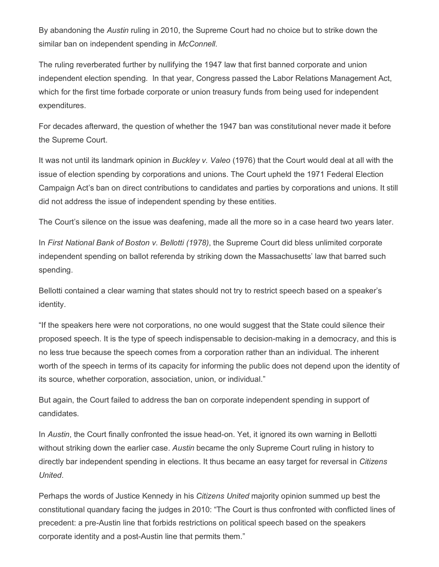By abandoning the *Austin* ruling in 2010, the Supreme Court had no choice but to strike down the similar ban on independent spending in *McConnell*.

The ruling reverberated further by nullifying the 1947 law that first banned corporate and union independent election spending. In that year, Congress passed the Labor Relations Management Act, which for the first time forbade corporate or union treasury funds from being used for independent expenditures.

For decades afterward, the question of whether the 1947 ban was constitutional never made it before the Supreme Court.

It was not until its landmark opinion in *Buckley v. Valeo* (1976) that the Court would deal at all with the issue of election spending by corporations and unions. The Court upheld the 1971 Federal Election Campaign Act's ban on direct contributions to candidates and parties by corporations and unions. It still did not address the issue of independent spending by these entities.

The Court's silence on the issue was deafening, made all the more so in a case heard two years later.

In *First National Bank of Boston v. Bellotti (1978)*, the Supreme Court did bless unlimited corporate independent spending on ballot referenda by striking down the Massachusetts' law that barred such spending.

Bellotti contained a clear warning that states should not try to restrict speech based on a speaker's identity.

"If the speakers here were not corporations, no one would suggest that the State could silence their proposed speech. It is the type of speech indispensable to decision-making in a democracy, and this is no less true because the speech comes from a corporation rather than an individual. The inherent worth of the speech in terms of its capacity for informing the public does not depend upon the identity of its source, whether corporation, association, union, or individual."

But again, the Court failed to address the ban on corporate independent spending in support of candidates.

In *Austin*, the Court finally confronted the issue head-on. Yet, it ignored its own warning in Bellotti without striking down the earlier case. *Austin* became the only Supreme Court ruling in history to directly bar independent spending in elections. It thus became an easy target for reversal in *Citizens United*.

Perhaps the words of Justice Kennedy in his *Citizens United* majority opinion summed up best the constitutional quandary facing the judges in 2010: "The Court is thus confronted with conflicted lines of precedent: a pre-Austin line that forbids restrictions on political speech based on the speakers corporate identity and a post-Austin line that permits them."